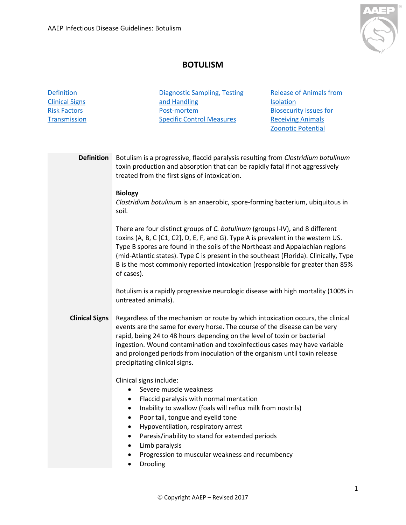

## **BOTULISM**

<span id="page-0-1"></span><span id="page-0-0"></span>

| <b>Definition</b><br><b>Clinical Signs</b><br><b>Risk Factors</b><br><b>Transmission</b> | <b>Diagnostic Sampling, Testing</b><br>and Handling<br>Post-mortem<br><b>Specific Control Measures</b>                                                                                                                                                                                                                                                                                                                                | <b>Release of Animals from</b><br><b>Isolation</b><br><b>Biosecurity Issues for</b><br><b>Receiving Animals</b><br><b>Zoonotic Potential</b> |  |  |
|------------------------------------------------------------------------------------------|---------------------------------------------------------------------------------------------------------------------------------------------------------------------------------------------------------------------------------------------------------------------------------------------------------------------------------------------------------------------------------------------------------------------------------------|----------------------------------------------------------------------------------------------------------------------------------------------|--|--|
| <b>Definition</b>                                                                        | Botulism is a progressive, flaccid paralysis resulting from Clostridium botulinum<br>toxin production and absorption that can be rapidly fatal if not aggressively<br>treated from the first signs of intoxication.<br><b>Biology</b>                                                                                                                                                                                                 |                                                                                                                                              |  |  |
|                                                                                          | Clostridium botulinum is an anaerobic, spore-forming bacterium, ubiquitous in<br>soil.<br>There are four distinct groups of C. botulinum (groups I-IV), and 8 different                                                                                                                                                                                                                                                               |                                                                                                                                              |  |  |
|                                                                                          | toxins (A, B, C [C1, C2], D, E, F, and G). Type A is prevalent in the western US.<br>Type B spores are found in the soils of the Northeast and Appalachian regions<br>(mid-Atlantic states). Type C is present in the southeast (Florida). Clinically, Type<br>B is the most commonly reported intoxication (responsible for greater than 85%<br>of cases).                                                                           |                                                                                                                                              |  |  |
|                                                                                          | Botulism is a rapidly progressive neurologic disease with high mortality (100% in<br>untreated animals).                                                                                                                                                                                                                                                                                                                              |                                                                                                                                              |  |  |
| <b>Clinical Signs</b>                                                                    | Regardless of the mechanism or route by which intoxication occurs, the clinical<br>events are the same for every horse. The course of the disease can be very<br>rapid, being 24 to 48 hours depending on the level of toxin or bacterial<br>ingestion. Wound contamination and toxoinfectious cases may have variable<br>and prolonged periods from inoculation of the organism until toxin release<br>precipitating clinical signs. |                                                                                                                                              |  |  |
|                                                                                          | Clinical signs include:<br>Severe muscle weakness<br>Flaccid paralysis with normal mentation<br>Inability to swallow (foals will reflux milk from nostrils)<br>Poor tail, tongue and eyelid tone<br>Hypoventilation, respiratory arrest<br>Paresis/inability to stand for extended periods<br>Limb paralysis                                                                                                                          |                                                                                                                                              |  |  |
|                                                                                          | Progression to muscular weakness and recumbency<br>Drooling                                                                                                                                                                                                                                                                                                                                                                           |                                                                                                                                              |  |  |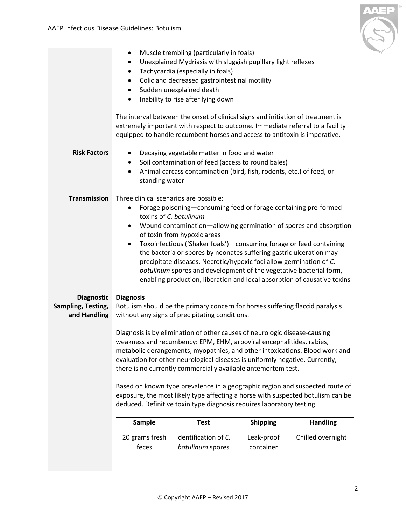

<span id="page-1-2"></span><span id="page-1-1"></span><span id="page-1-0"></span>

|                                                         | ٠<br>$\bullet$<br>$\bullet$<br>$\bullet$<br>$\bullet$<br>٠                                                                                                                                                                                                                                                                                                                                                                                                                                                                                                                                                                                                                                                                                                                           | Muscle trembling (particularly in foals)<br>Unexplained Mydriasis with sluggish pupillary light reflexes<br>Tachycardia (especially in foals)<br>Colic and decreased gastrointestinal motility<br>Sudden unexplained death<br>Inability to rise after lying down<br>The interval between the onset of clinical signs and initiation of treatment is<br>extremely important with respect to outcome. Immediate referral to a facility<br>equipped to handle recumbent horses and access to antitoxin is imperative. |                                            |                                      |
|---------------------------------------------------------|--------------------------------------------------------------------------------------------------------------------------------------------------------------------------------------------------------------------------------------------------------------------------------------------------------------------------------------------------------------------------------------------------------------------------------------------------------------------------------------------------------------------------------------------------------------------------------------------------------------------------------------------------------------------------------------------------------------------------------------------------------------------------------------|--------------------------------------------------------------------------------------------------------------------------------------------------------------------------------------------------------------------------------------------------------------------------------------------------------------------------------------------------------------------------------------------------------------------------------------------------------------------------------------------------------------------|--------------------------------------------|--------------------------------------|
| <b>Risk Factors</b>                                     | $\bullet$<br>$\bullet$<br>$\bullet$<br>standing water                                                                                                                                                                                                                                                                                                                                                                                                                                                                                                                                                                                                                                                                                                                                | Decaying vegetable matter in food and water<br>Soil contamination of feed (access to round bales)<br>Animal carcass contamination (bird, fish, rodents, etc.) of feed, or                                                                                                                                                                                                                                                                                                                                          |                                            |                                      |
| <b>Transmission</b>                                     | Three clinical scenarios are possible:<br>Forage poisoning-consuming feed or forage containing pre-formed<br>toxins of C. botulinum<br>Wound contamination—allowing germination of spores and absorption<br>٠<br>of toxin from hypoxic areas<br>Toxoinfectious ('Shaker foals') - consuming forage or feed containing<br>$\bullet$<br>the bacteria or spores by neonates suffering gastric ulceration may<br>precipitate diseases. Necrotic/hypoxic foci allow germination of C.<br>botulinum spores and development of the vegetative bacterial form,<br>enabling production, liberation and local absorption of causative toxins                                                                                                                                                   |                                                                                                                                                                                                                                                                                                                                                                                                                                                                                                                    |                                            |                                      |
| <b>Diagnostic</b><br>Sampling, Testing,<br>and Handling | <b>Diagnosis</b><br>Botulism should be the primary concern for horses suffering flaccid paralysis<br>without any signs of precipitating conditions.<br>Diagnosis is by elimination of other causes of neurologic disease-causing<br>weakness and recumbency: EPM, EHM, arboviral encephalitides, rabies,<br>metabolic derangements, myopathies, and other intoxications. Blood work and<br>evaluation for other neurological diseases is uniformly negative. Currently,<br>there is no currently commercially available antemortem test.<br>Based on known type prevalence in a geographic region and suspected route of<br>exposure, the most likely type affecting a horse with suspected botulism can be<br>deduced. Definitive toxin type diagnosis requires laboratory testing. |                                                                                                                                                                                                                                                                                                                                                                                                                                                                                                                    |                                            |                                      |
|                                                         | <b>Sample</b><br>20 grams fresh<br>feces                                                                                                                                                                                                                                                                                                                                                                                                                                                                                                                                                                                                                                                                                                                                             | <b>Test</b><br>Identification of C.<br>botulinum spores                                                                                                                                                                                                                                                                                                                                                                                                                                                            | <b>Shipping</b><br>Leak-proof<br>container | <b>Handling</b><br>Chilled overnight |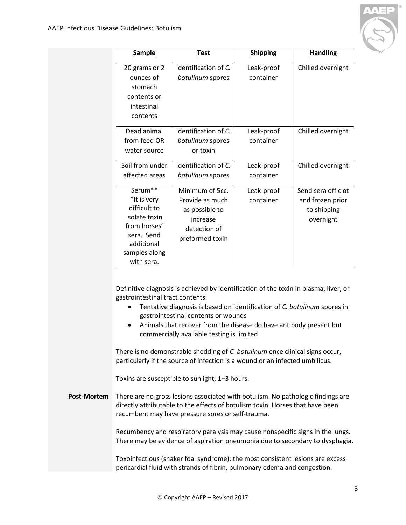

| <b>Sample</b>                                                                                                                                  | <b>Test</b>                                                                                         | <b>Shipping</b>         | <b>Handling</b>                                                    |
|------------------------------------------------------------------------------------------------------------------------------------------------|-----------------------------------------------------------------------------------------------------|-------------------------|--------------------------------------------------------------------|
| 20 grams or 2<br>ounces of<br>stomach<br>contents or<br>intestinal<br>contents                                                                 | Identification of C.<br>botulinum spores                                                            | Leak-proof<br>container | Chilled overnight                                                  |
| Dead animal<br>from feed OR<br>water source                                                                                                    | Identification of C.<br>botulinum spores<br>or toxin                                                | Leak-proof<br>container | Chilled overnight                                                  |
| Soil from under<br>affected areas                                                                                                              | Identification of C.<br>botulinum spores                                                            | Leak-proof<br>container | Chilled overnight                                                  |
| Serum <sup>**</sup><br>*It is very<br>difficult to<br>isolate toxin<br>from horses'<br>sera. Send<br>additional<br>samples along<br>with sera. | Minimum of 5cc.<br>Provide as much<br>as possible to<br>increase<br>detection of<br>preformed toxin | Leak-proof<br>container | Send sera off clot<br>and frozen prior<br>to shipping<br>overnight |

Definitive diagnosis is achieved by identification of the toxin in plasma, liver, or gastrointestinal tract contents.

- Tentative diagnosis is based on identification of *C. botulinum* spores in gastrointestinal contents or wounds
- Animals that recover from the disease do have antibody present but commercially available testing is limited

There is no demonstrable shedding of *C. botulinum* once clinical signs occur, particularly if the source of infection is a wound or an infected umbilicus.

Toxins are susceptible to sunlight, 1–3 hours.

<span id="page-2-0"></span>**Post-Mortem** There are no gross lesions associated with botulism. No pathologic findings are directly attributable to the effects of botulism toxin. Horses that have been recumbent may have pressure sores or self-trauma.

> Recumbency and respiratory paralysis may cause nonspecific signs in the lungs. There may be evidence of aspiration pneumonia due to secondary to dysphagia.

Toxoinfectious (shaker foal syndrome): the most consistent lesions are excess pericardial fluid with strands of fibrin, pulmonary edema and congestion.